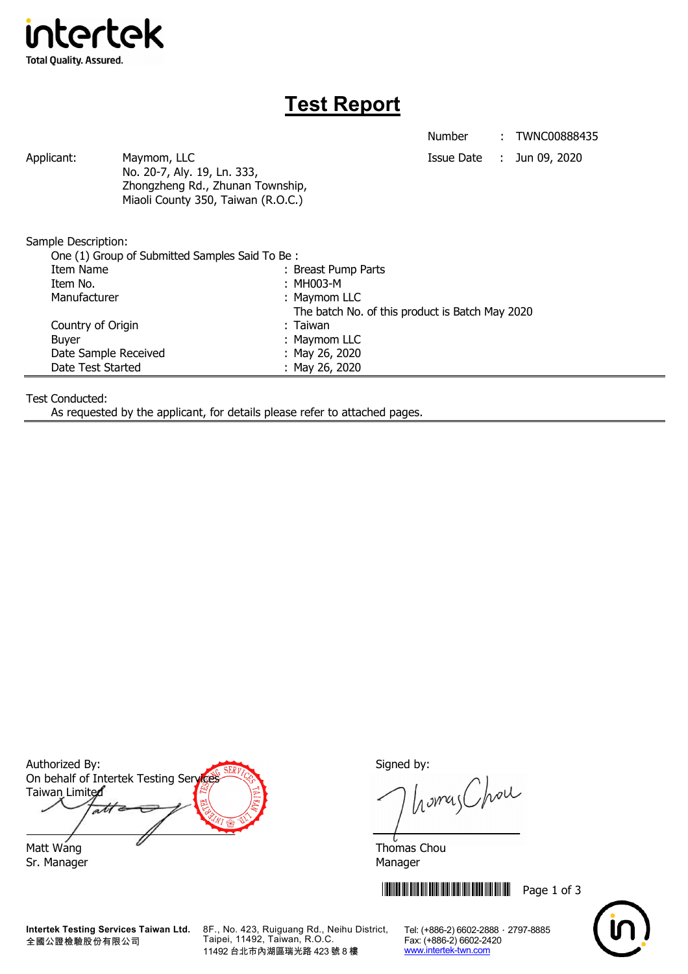

## **Test Report**

Number : TWNC00888435

Applicant: Maymom, LLC Maymon, LLC Applicant: Jun 09, 2020 No. 20-7, Aly. 19, Ln. 333, Zhongzheng Rd., Zhunan Township, Miaoli County 350, Taiwan (R.O.C.)

Sample Description:

| One (1) Group of Submitted Samples Said To Be: |                                                 |
|------------------------------------------------|-------------------------------------------------|
| Item Name                                      | : Breast Pump Parts                             |
| Item No.                                       | $:$ MH003-M                                     |
| Manufacturer                                   | : Maymom LLC                                    |
|                                                | The batch No. of this product is Batch May 2020 |
| Country of Origin                              | : Taiwan                                        |
| <b>Buyer</b>                                   | : Maymom LLC                                    |
| Date Sample Received                           | : May 26, 2020                                  |
| Date Test Started                              | : May 26, 2020                                  |

Test Conducted:

As requested by the applicant, for details please refer to attached pages.

Authorized By: Signed by: On behalf of Intertek Testing Services Taiwan Limited  $\overline{\mathcal{A}}$ Matt Wang **Thomas Chou** 

Sr. Manager Manager Manager Manager Manager

**Intertek Testing Services Taiwan Ltd.** 全國公證檢驗股份有限公司

8F., No. 423, Ruiguang Rd., Neihu District, Taipei, 11492, Taiwan, R.O.C. 11492 台北市內湖區瑞光路 423 號 8 樓

homas Chou

**THEFT READERS AND READERS THE READER IN THE READER IN 1999** 



Tel: (+886-2) 6602-2888 · 2797-8885 Fax: (+886-2) 6602-2420 www.intertek-twn.com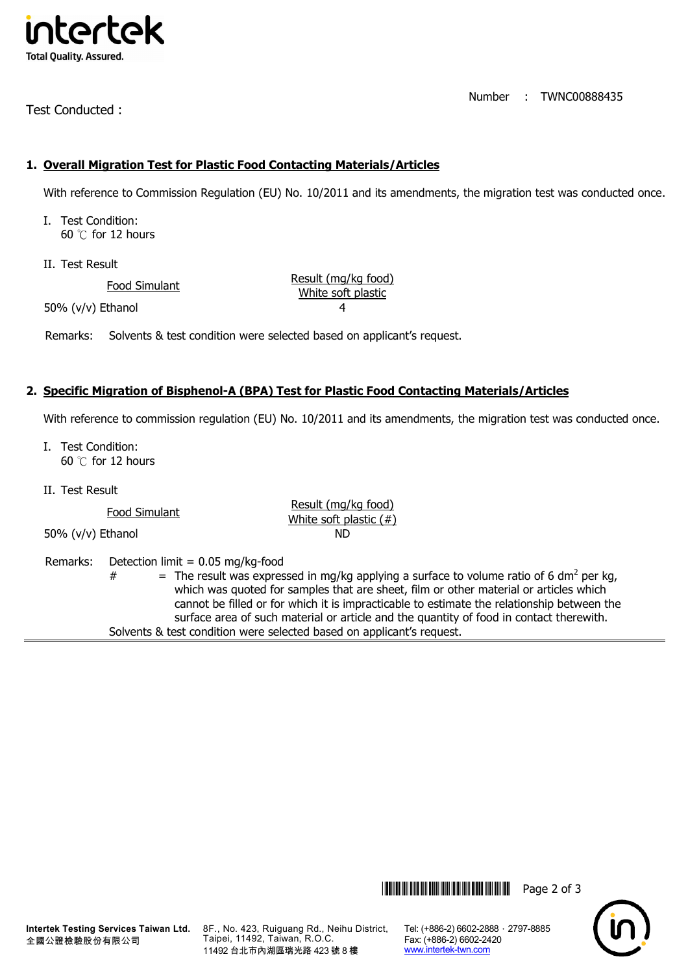

Test Conducted :

Number : TWNC00888435

## **1. Overall Migration Test for Plastic Food Contacting Materials/Articles**

With reference to Commission Regulation (EU) No. 10/2011 and its amendments, the migration test was conducted once.

- I. Test Condition: 60 ℃ for 12 hours
- II. Test Result

Food Simulant **Food Simulant** Result (mg/kg food)

 $50\%$  (v/v) Ethanol  $4$ 

Remarks: Solvents & test condition were selected based on applicant's request.

## **2. Specific Migration of Bisphenol-A (BPA) Test for Plastic Food Contacting Materials/Articles**

With reference to commission regulation (EU) No. 10/2011 and its amendments, the migration test was conducted once.

- I. Test Condition: 60 ℃ for 12 hours
- II. Test Result

Food Simulant **Food Simulant** Result (mg/kg food)<br>White soft plastic (#) 50% (v/v) Ethanol ND

Remarks: Detection limit = 0.05 mg/kg-food

 $#$  = The result was expressed in mg/kg applying a surface to volume ratio of 6 dm<sup>2</sup> per kg, which was quoted for samples that are sheet, film or other material or articles which cannot be filled or for which it is impracticable to estimate the relationship between the surface area of such material or article and the quantity of food in contact therewith. Solvents & test condition were selected based on applicant's request.





**Intertek Testing Services Taiwan Ltd.** 全國公證檢驗股份有限公司

8F., No. 423, Ruiguang Rd., Neihu District, Taipei, 11492, Taiwan, R.O.C. 11492 台北市內湖區瑞光路 423 號 8 樓

Tel: (+886-2) 6602-2888 · 2797-8885 Fax: (+886-2) 6602-2420 www.intertek-twn.com